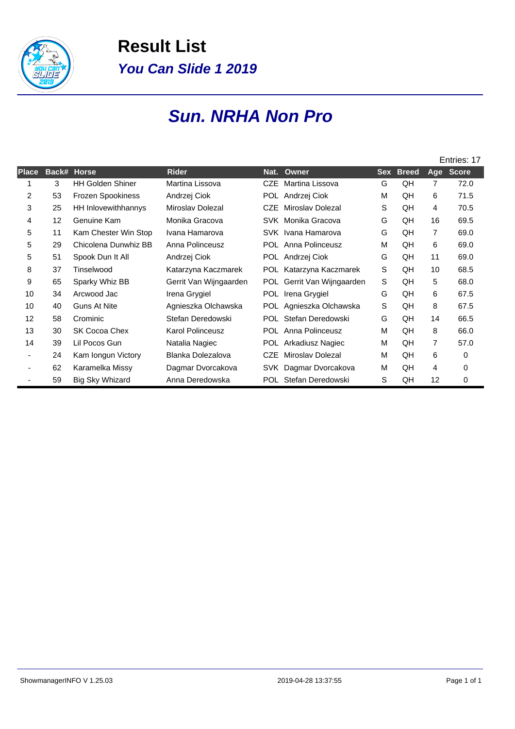

**Result List You Can Slide 1 2019**

### **Sun. NRHA Non Pro**

|              |       |                         |                         |            |                            |     |              |                | Entries: 17  |
|--------------|-------|-------------------------|-------------------------|------------|----------------------------|-----|--------------|----------------|--------------|
| <b>Place</b> | Back# | <b>Horse</b>            | <b>Rider</b>            | Nat.       | Owner                      | Sex | <b>Breed</b> | Age            | <b>Score</b> |
|              | 3     | <b>HH Golden Shiner</b> | Martina Lissova         | <b>CZE</b> | Martina Lissova            | G   | QH           | $\overline{7}$ | 72.0         |
| 2            | 53    | Frozen Spookiness       | Andrzej Ciok            |            | POL Andrzej Ciok           | M   | QH           | 6              | 71.5         |
| 3            | 25    | HH Inlovewithhannys     | Miroslav Dolezal        | CZE        | Miroslav Dolezal           | S   | QH           | 4              | 70.5         |
| 4            | 12    | Genuine Kam             | Monika Gracova          |            | SVK Monika Gracova         | G   | QH           | 16             | 69.5         |
| 5            | 11    | Kam Chester Win Stop    | Ivana Hamarova          |            | SVK Ivana Hamarova         | G   | QH           | $\overline{7}$ | 69.0         |
| 5            | 29    | Chicolena Dunwhiz BB    | Anna Polinceusz         |            | <b>POL</b> Anna Polinceusz | M   | QH           | 6              | 69.0         |
| 5            | 51    | Spook Dun It All        | Andrzej Ciok            |            | POL Andrzej Ciok           | G   | QH           | 11             | 69.0         |
| 8            | 37    | Tinselwood              | Katarzyna Kaczmarek     | POL.       | Katarzyna Kaczmarek        | S   | QH           | 10             | 68.5         |
| 9            | 65    | Sparky Whiz BB          | Gerrit Van Wijngaarden  | POL.       | Gerrit Van Wijngaarden     | S   | QH           | 5              | 68.0         |
| 10           | 34    | Arcwood Jac             | Irena Grygiel           | POL.       | Irena Grygiel              | G   | QH           | 6              | 67.5         |
| 10           | 40    | <b>Guns At Nite</b>     | Agnieszka Olchawska     |            | POL Agnieszka Olchawska    | S   | QH           | 8              | 67.5         |
| 12           | 58    | Crominic                | Stefan Deredowski       | POL.       | Stefan Deredowski          | G   | QH           | 14             | 66.5         |
| 13           | 30    | SK Cocoa Chex           | <b>Karol Polinceusz</b> | POL.       | Anna Polinceusz            | M   | QH           | 8              | 66.0         |
| 14           | 39    | Lil Pocos Gun           | Natalia Nagiec          |            | POL Arkadiusz Nagiec       | M   | QH           | $\overline{7}$ | 57.0         |
|              | 24    | Kam Iongun Victory      | Blanka Dolezalova       | <b>CZE</b> | Miroslav Dolezal           | M   | QH           | 6              | 0            |
|              | 62    | Karamelka Missy         | Dagmar Dvorcakova       | SVK        | Dagmar Dvorcakova          | M   | QH           | 4              | 0            |
|              | 59    | <b>Big Sky Whizard</b>  | Anna Deredowska         |            | POL Stefan Deredowski      | S   | QH           | 12             | 0            |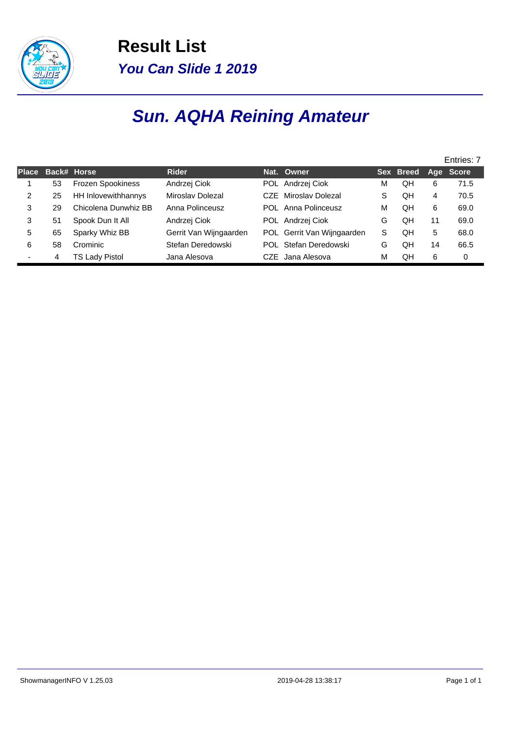

**Result List You Can Slide 1 2019**

# **Sun. AQHA Reining Amateur**

|              |    |                          |                        |                            |   |           |    | Entries: 7 |
|--------------|----|--------------------------|------------------------|----------------------------|---|-----------|----|------------|
| <b>Place</b> |    | Back# Horse              | <b>Rider</b>           | Nat. Owner                 |   | Sex Breed |    | Age Score  |
|              | 53 | <b>Frozen Spookiness</b> | Andrzej Ciok           | POL Andrzej Ciok           | м | QH        | 6  | 71.5       |
| 2            | 25 | HH Inlovewithhannys      | Miroslav Dolezal       | CZE Miroslav Dolezal       | S | QH        | 4  | 70.5       |
| 3            | 29 | Chicolena Dunwhiz BB     | Anna Polinceusz        | POL Anna Polinceusz        | М | OН        | 6  | 69.0       |
| 3            | 51 | Spook Dun It All         | Andrzej Ciok           | POL Andrzej Ciok           | G | QH        | 11 | 69.0       |
| 5            | 65 | Sparky Whiz BB           | Gerrit Van Wijngaarden | POL Gerrit Van Wijngaarden | S | QH        | 5  | 68.0       |
| 6            | 58 | Crominic                 | Stefan Deredowski      | POL Stefan Deredowski      | G | OН        | 14 | 66.5       |
|              | 4  | <b>TS Lady Pistol</b>    | Jana Alesova           | CZE Jana Alesova           | M | QH        | 6  | 0          |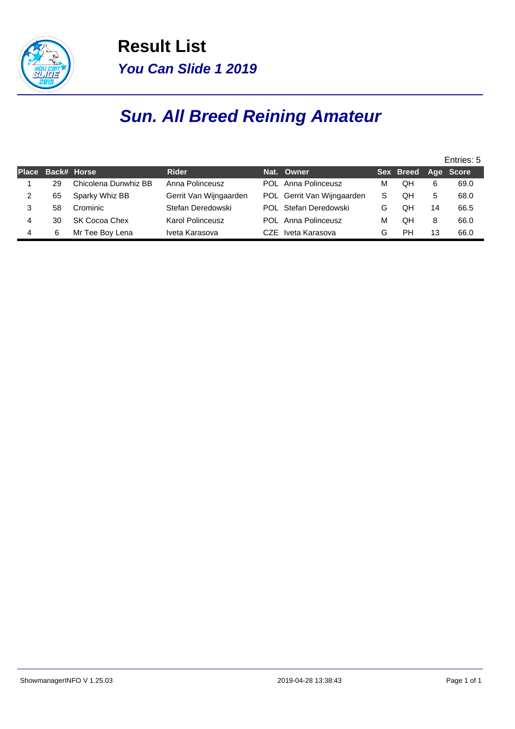

**Result List You Can Slide 1 2019**

# **Sun. All Breed Reining Amateur**

|              |    |                      |                         |                            |   |                     |    | Entries: 5 |
|--------------|----|----------------------|-------------------------|----------------------------|---|---------------------|----|------------|
| <b>Place</b> |    | Back# Horse          | <b>Rider</b>            | Nat. Owner                 |   | Sex Breed Age Score |    |            |
|              | 29 | Chicolena Dunwhiz BB | Anna Polinceusz         | POL Anna Polinceusz        | м | QΗ                  | 6  | 69.0       |
|              | 65 | Sparky Whiz BB       | Gerrit Van Wijngaarden  | POL Gerrit Van Wijngaarden | S | QH                  | 5  | 68.0       |
| 3            | 58 | Crominic             | Stefan Deredowski       | POL Stefan Deredowski      | G | QΗ                  | 14 | 66.5       |
| 4            | 30 | SK Cocoa Chex        | <b>Karol Polinceusz</b> | POL Anna Polinceusz        | м | QH                  | 8  | 66.0       |
| 4            | 6  | Mr Tee Boy Lena      | Iveta Karasova          | CZE Iveta Karasova         | G | PН                  | 13 | 66.0       |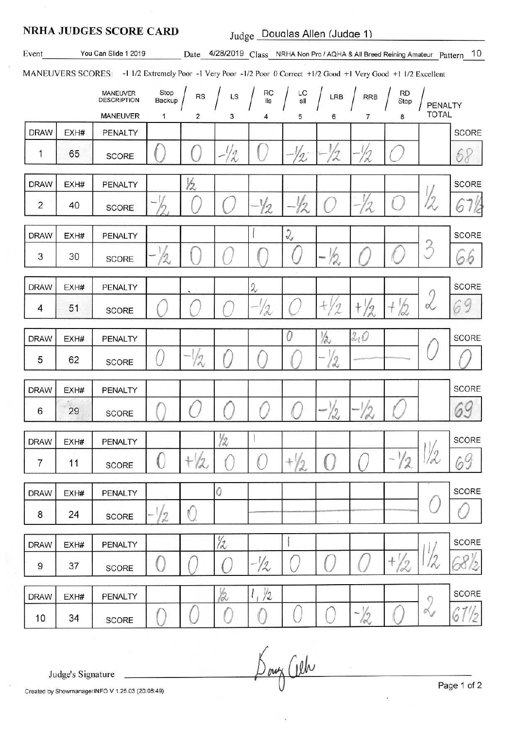#### **NRHA JUDGES SCORE CARD**

Judge Doualas Allen (Judge 1)

| Event          |      | You Can Slide 1 2019                                                                                             |                |                |               |                                                           |                |                          |                |                                           |                             | Date 4/28/2019 Class NRHA Non Pro / AQHA & All Breed Reining Amateur Pattern 10 |
|----------------|------|------------------------------------------------------------------------------------------------------------------|----------------|----------------|---------------|-----------------------------------------------------------|----------------|--------------------------|----------------|-------------------------------------------|-----------------------------|---------------------------------------------------------------------------------|
|                |      | MANEUVERS SCORES: -1 1/2 Extremely Poor -1 Very Poor -1/2 Poor 0 Correct +1/2 Good +1 Very Good +1 1/2 Excellent |                |                |               |                                                           |                |                          |                |                                           |                             |                                                                                 |
|                |      | MANEUVER<br><b>DESCRIPTION</b>                                                                                   | Stop<br>Backup | RS             | LS            | $\begin{array}{c} \n\text{RC} \\ \text{lls}\n\end{array}$ | LC<br>sll      | LRB                      | <b>RRB</b>     | <b>RD</b><br>Stop                         | <b>PENALTY</b>              |                                                                                 |
|                |      | <b>MANEUVER</b>                                                                                                  | 1              | $\overline{2}$ | 3             | 4                                                         | 5              | 6                        | 7              | 8                                         | <b>TOTAL</b>                |                                                                                 |
| <b>DRAW</b>    | EXH# | PENALTY                                                                                                          |                |                |               |                                                           |                |                          |                |                                           |                             | <b>SCORE</b>                                                                    |
| 1              | 65   | <b>SCORE</b>                                                                                                     |                |                | $\lambda$     |                                                           | 2              |                          | A              |                                           |                             | Ó                                                                               |
| <b>DRAW</b>    | EXH# | PENALTY                                                                                                          |                | V2             |               |                                                           |                |                          |                |                                           |                             | <b>SCORE</b>                                                                    |
| $\overline{2}$ | 40   | <b>SCORE</b>                                                                                                     |                |                |               | У2                                                        | 12             |                          |                |                                           | $\overline{\mathcal{X}}$    |                                                                                 |
| <b>DRAW</b>    | EXH# | PENALTY                                                                                                          |                |                |               |                                                           | $\mathcal{Q}$  |                          |                |                                           |                             | <b>SCORE</b>                                                                    |
| 3              | 30   | SCORE                                                                                                            |                |                |               |                                                           |                | $\overline{\mathcal{L}}$ |                |                                           | $\mathcal{C}$               | 00                                                                              |
| <b>DRAW</b>    | EXH# | PENALTY                                                                                                          |                |                |               | $\boldsymbol{\lambda}$                                    |                |                          |                |                                           | $\zeta$                     | <b>SCORE</b>                                                                    |
| 4              | 51   | <b>SCORE</b>                                                                                                     |                |                |               | 12                                                        |                |                          | $\eta$         | /2                                        | $\propto$                   | $\mathcal{G}$<br>b                                                              |
| <b>DRAW</b>    | EXH# | PENALTY                                                                                                          |                |                |               |                                                           | 0              | 12                       | 2,0            |                                           |                             | <b>SCORE</b>                                                                    |
| 5              | 62   | <b>SCORE</b>                                                                                                     |                | 12             |               |                                                           |                | 12                       |                |                                           |                             |                                                                                 |
| <b>DRAW</b>    | EXH# | PENALTY                                                                                                          |                |                |               |                                                           |                |                          |                |                                           |                             | <b>SCORE</b>                                                                    |
| 6              | 29   | <b>SCORE</b>                                                                                                     |                |                |               |                                                           |                | $\langle 2$              | v              |                                           |                             |                                                                                 |
| <b>DRAW</b>    | EXH# | PENALTY                                                                                                          |                |                | 1/2           |                                                           |                |                          |                |                                           |                             | <b>SCORE</b>                                                                    |
| $\overline{7}$ | 11   | <b>SCORE</b>                                                                                                     | U              | $+1/2$         | $\sqrt{ }$    |                                                           | $+\frac{1}{2}$ |                          |                | $\frac{1}{2}$<br>$\overline{\phantom{a}}$ | $\frac{1}{2}$               | 69                                                                              |
| <b>DRAW</b>    | EXH# | PENALTY                                                                                                          |                |                | 0             |                                                           |                |                          |                |                                           |                             | SCORE                                                                           |
| 8              | 24   | <b>SCORE</b>                                                                                                     | 12             | C              |               |                                                           |                |                          |                |                                           |                             |                                                                                 |
| <b>DRAW</b>    | EXH# | PENALTY                                                                                                          |                |                | $\frac{1}{2}$ |                                                           |                |                          |                |                                           |                             | <b>SCORE</b>                                                                    |
| 9              | 37   | <b>SCORE</b>                                                                                                     | I.             |                |               | -1/2                                                      |                |                          |                | $+$ $/$<br>12                             | $\frac{1}{2}$               | 12                                                                              |
| <b>DRAW</b>    | EXH# | PENALTY                                                                                                          |                |                | Y2            | 1/2<br>$l_{\perp}$                                        |                |                          |                |                                           | 0                           | SCORE                                                                           |
| 10             | 34   | SCORE                                                                                                            |                |                |               |                                                           |                |                          | $-\frac{1}{2}$ |                                           | $\mathcal{A}_{\mathcal{J}}$ | 6<br>2                                                                          |

Judge's Signature

Created by ShowmanagerINFO V 1.25.03 (20:08:49)

Bong Cel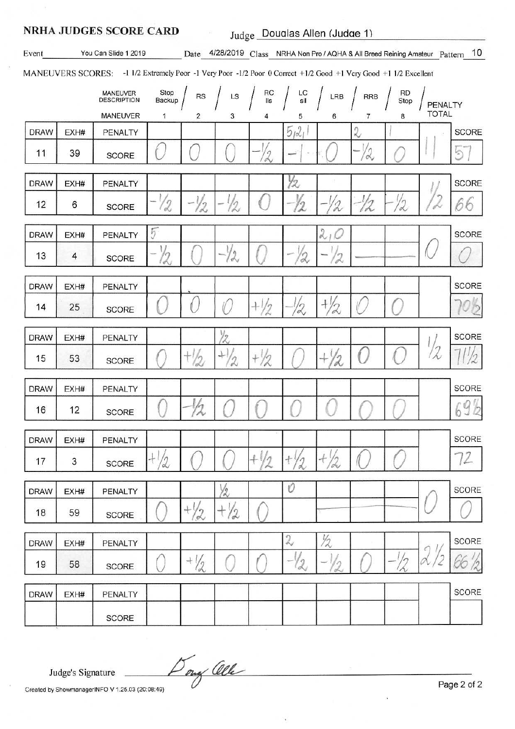#### **NRHA JUDGES SCORE CARD**

Judge Doualas Allen (Judge 1)

|  | í |  |
|--|---|--|
|  |   |  |
|  |   |  |

You Can Slide 1 2019

Date 4/28/2019 Class NRHA Non Pro / AQHA & All Breed Reining Amateur Pattern 10

MANEUVERS SCORES: -1 1/2 Extremely Poor -1 Very Poor -1/2 Poor 0 Correct +1/2 Good +1 Very Good +1 1/2 Excellent

|             |      | MANEUVER<br><b>DESCRIPTION</b> | Stop<br>Backup          | <b>RS</b>       | LS                    | RC<br>lls       | LC<br>sll     | LRB            | <b>RRB</b>         | RD<br>Stop | PENALTY            |                |
|-------------|------|--------------------------------|-------------------------|-----------------|-----------------------|-----------------|---------------|----------------|--------------------|------------|--------------------|----------------|
|             |      | MANEUVER                       | 1                       | $\mathbf{2}$    | 3                     | 4               | 5             | 6              | $\overline{7}$     | 8          | <b>TOTAL</b>       |                |
| <b>DRAW</b> | EXH# | PENALTY                        |                         |                 |                       |                 | 5121          |                | $\mathcal{Z}$      |            |                    | <b>SCORE</b>   |
| 11          | 39   | <b>SCORE</b>                   |                         |                 |                       | $\frac{1}{2}$   |               |                | 12<br><b>House</b> |            |                    | 3              |
| <b>DRAW</b> | EXH# | PENALTY                        |                         |                 |                       |                 | 1/2           |                |                    |            |                    | <b>SCORE</b>   |
| 12          | 6    | <b>SCORE</b>                   | 12                      | $-1/2$          | 12,                   | <b>(</b>        | -12           | 2              | 12                 | 12         |                    | 66             |
| <b>DRAW</b> | EXH# | PENALTY                        | $\overline{5}$          |                 |                       |                 |               | 21             |                    |            |                    | <b>SCORE</b>   |
| 13          | 4    | <b>SCORE</b>                   | 12                      |                 | $-72$                 |                 | 12            | 12             |                    |            |                    |                |
| <b>DRAW</b> | EXH# | PENALTY                        |                         |                 |                       |                 |               |                |                    |            |                    | <b>SCORE</b>   |
| 14          | 25   | SCORE                          |                         |                 |                       | $+1/2$          | 12            | $\frac{1}{2}$  |                    |            |                    | $\overline{O}$ |
| <b>DRAW</b> | EXH# | PENALTY                        |                         |                 | $\frac{1}{2}$         |                 |               |                |                    |            |                    | <b>SCORE</b>   |
| 15          | 53   | <b>SCORE</b>                   |                         | $+1/2$          | $+ $<br>$\frac{2}{2}$ | $+ \frac{1}{2}$ |               | $^{+}$<br>12   | $\mathbf{f}$       |            | $\sigma$<br>$\sim$ | $\frac{1}{2}$  |
| <b>DRAW</b> | EXH# | PENALTY                        |                         |                 |                       |                 |               |                |                    |            |                    | <b>SCORE</b>   |
| 16          | 12   | <b>SCORE</b>                   |                         | ĥ<br>W          |                       |                 |               |                |                    |            |                    | 69%            |
| <b>DRAW</b> | EXH# | PENALTY                        |                         |                 |                       |                 |               |                |                    |            |                    | <b>SCORE</b>   |
| 17          | 3    | <b>SCORE</b>                   | $\mathfrak{t}^+$<br>1/2 |                 |                       | $\sim$          | 100           | 10V            |                    |            |                    | 72             |
| <b>DRAW</b> | EXH# | PENALTY                        |                         |                 | Y2,                   |                 | O             |                |                    |            |                    | SCORE          |
| 18          | 59   | <b>SCORE</b>                   |                         | $+\frac{1}{2}$  | $+\frac{1}{2}$        |                 |               |                |                    |            |                    |                |
| <b>DRAW</b> | EXH# | PENALTY                        |                         |                 |                       |                 | $\mathcal{L}$ | 1/2            |                    |            |                    | <b>SCORE</b>   |
| 19          | 58   | <b>SCORE</b>                   |                         | $+ \frac{1}{2}$ |                       |                 | $-22$         | $-\frac{1}{2}$ |                    |            | 2                  |                |
| <b>DRAW</b> | EXH# | <b>PENALTY</b>                 |                         |                 |                       |                 |               |                |                    |            |                    | <b>SCORE</b>   |
|             |      | <b>SCORE</b>                   |                         |                 |                       |                 |               |                |                    |            |                    |                |

Dong Cell

Judge's Signature

Created by ShowmanagerINFO V 1.25.03 (20:08:49)

Page 2 of 2